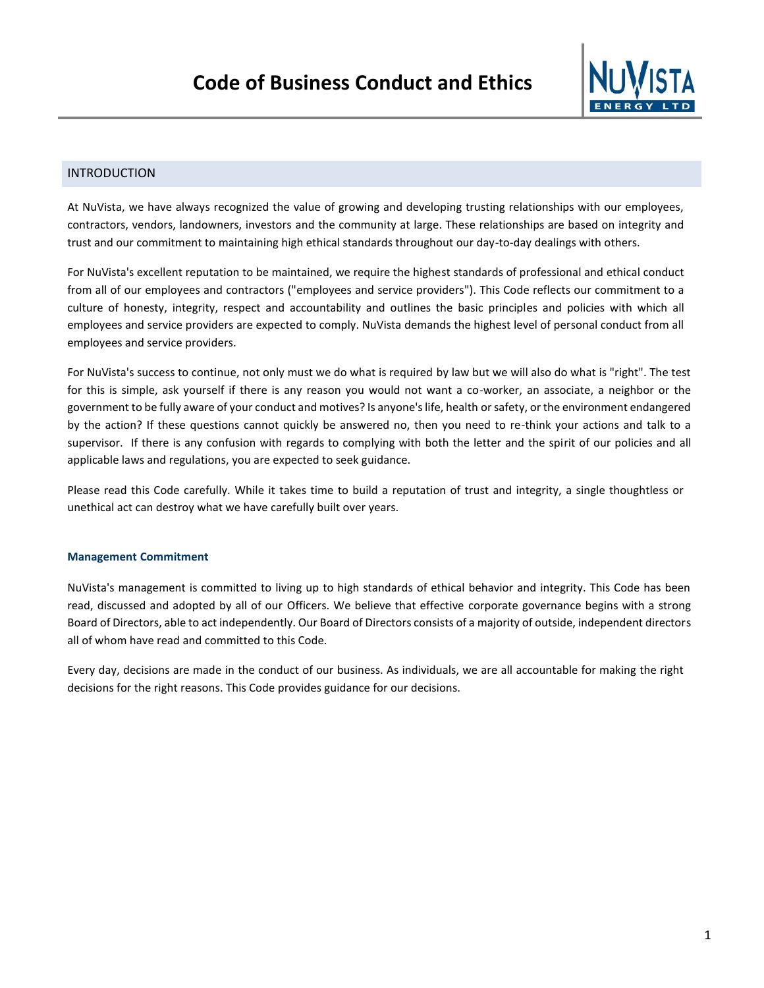

# INTRODUCTION

At NuVista, we have always recognized the value of growing and developing trusting relationships with our employees, contractors, vendors, landowners, investors and the community at large. These relationships are based on integrity and trust and our commitment to maintaining high ethical standards throughout our day-to-day dealings with others.

For NuVista's excellent reputation to be maintained, we require the highest standards of professional and ethical conduct from all of our employees and contractors ("employees and service providers"). This Code reflects our commitment to a culture of honesty, integrity, respect and accountability and outlines the basic principles and policies with which all employees and service providers are expected to comply. NuVista demands the highest level of personal conduct from all employees and service providers.

For NuVista's success to continue, not only must we do what is required by law but we will also do what is "right". The test for this is simple, ask yourself if there is any reason you would not want a co-worker, an associate, a neighbor or the government to be fully aware of your conduct and motives? Is anyone's life, health or safety, or the environment endangered by the action? If these questions cannot quickly be answered no, then you need to re-think your actions and talk to a supervisor. If there is any confusion with regards to complying with both the letter and the spirit of our policies and all applicable laws and regulations, you are expected to seek guidance.

Please read this Code carefully. While it takes time to build a reputation of trust and integrity, a single thoughtless or unethical act can destroy what we have carefully built over years.

### **Management Commitment**

NuVista's management is committed to living up to high standards of ethical behavior and integrity. This Code has been read, discussed and adopted by all of our Officers. We believe that effective corporate governance begins with a strong Board of Directors, able to act independently. Our Board of Directors consists of a majority of outside, independent directors all of whom have read and committed to this Code.

Every day, decisions are made in the conduct of our business. As individuals, we are all accountable for making the right decisions for the right reasons. This Code provides guidance for our decisions.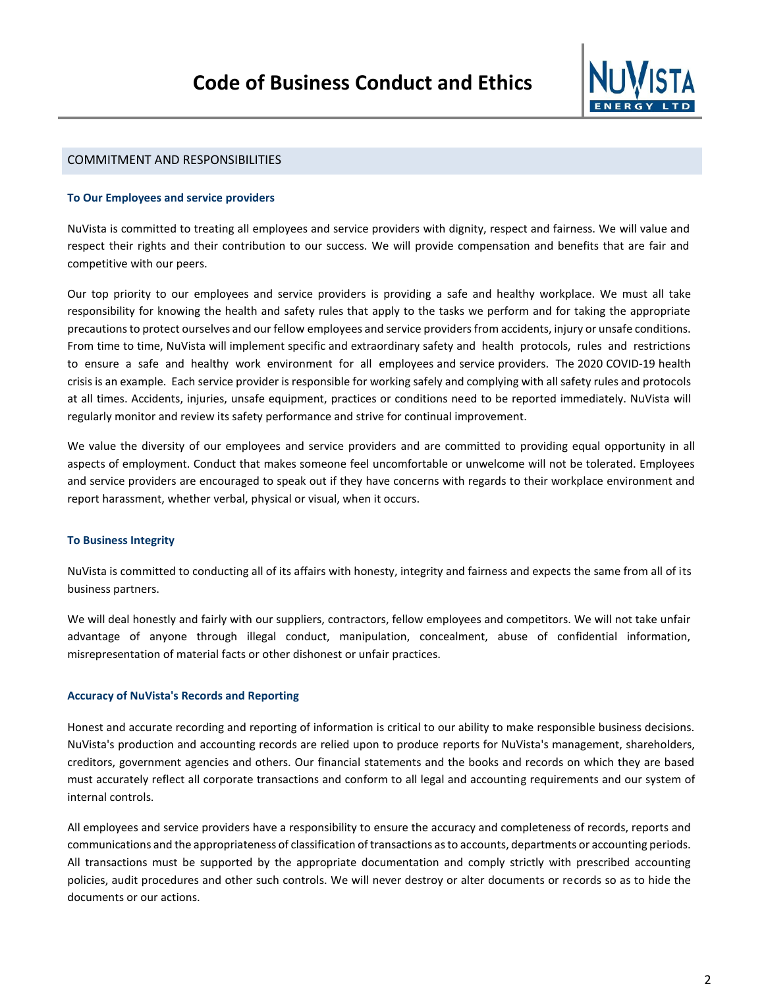

## COMMITMENT AND RESPONSIBILITIES

### **To Our Employees and service providers**

NuVista is committed to treating all employees and service providers with dignity, respect and fairness. We will value and respect their rights and their contribution to our success. We will provide compensation and benefits that are fair and competitive with our peers.

Our top priority to our employees and service providers is providing a safe and healthy workplace. We must all take responsibility for knowing the health and safety rules that apply to the tasks we perform and for taking the appropriate precautions to protect ourselves and our fellow employees and service providersfrom accidents, injury or unsafe conditions. From time to time, NuVista will implement specific and extraordinary safety and health protocols, rules and restrictions to ensure a safe and healthy work environment for all employees and service providers. The 2020 COVID-19 health crisis is an example. Each service provider is responsible for working safely and complying with all safety rules and protocols at all times. Accidents, injuries, unsafe equipment, practices or conditions need to be reported immediately. NuVista will regularly monitor and review its safety performance and strive for continual improvement.

We value the diversity of our employees and service providers and are committed to providing equal opportunity in all aspects of employment. Conduct that makes someone feel uncomfortable or unwelcome will not be tolerated. Employees and service providers are encouraged to speak out if they have concerns with regards to their workplace environment and report harassment, whether verbal, physical or visual, when it occurs.

### **To Business Integrity**

NuVista is committed to conducting all of its affairs with honesty, integrity and fairness and expects the same from all of its business partners.

We will deal honestly and fairly with our suppliers, contractors, fellow employees and competitors. We will not take unfair advantage of anyone through illegal conduct, manipulation, concealment, abuse of confidential information, misrepresentation of material facts or other dishonest or unfair practices.

### **Accuracy of NuVista's Records and Reporting**

Honest and accurate recording and reporting of information is critical to our ability to make responsible business decisions. NuVista's production and accounting records are relied upon to produce reports for NuVista's management, shareholders, creditors, government agencies and others. Our financial statements and the books and records on which they are based must accurately reflect all corporate transactions and conform to all legal and accounting requirements and our system of internal controls.

All employees and service providers have a responsibility to ensure the accuracy and completeness of records, reports and communications and the appropriateness of classification of transactions as to accounts, departments or accounting periods. All transactions must be supported by the appropriate documentation and comply strictly with prescribed accounting policies, audit procedures and other such controls. We will never destroy or alter documents or records so as to hide the documents or our actions.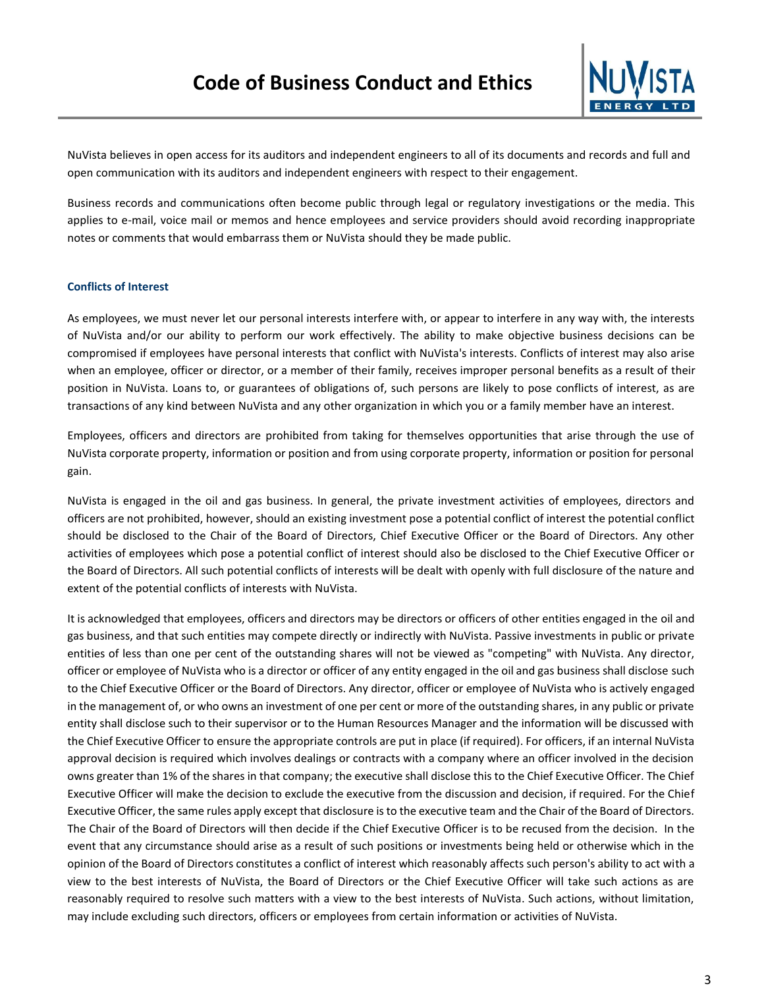

NuVista believes in open access for its auditors and independent engineers to all of its documents and records and full and open communication with its auditors and independent engineers with respect to their engagement.

Business records and communications often become public through legal or regulatory investigations or the media. This applies to e-mail, voice mail or memos and hence employees and service providers should avoid recording inappropriate notes or comments that would embarrass them or NuVista should they be made public.

### **Conflicts of Interest**

As employees, we must never let our personal interests interfere with, or appear to interfere in any way with, the interests of NuVista and/or our ability to perform our work effectively. The ability to make objective business decisions can be compromised if employees have personal interests that conflict with NuVista's interests. Conflicts of interest may also arise when an employee, officer or director, or a member of their family, receives improper personal benefits as a result of their position in NuVista. Loans to, or guarantees of obligations of, such persons are likely to pose conflicts of interest, as are transactions of any kind between NuVista and any other organization in which you or a family member have an interest.

Employees, officers and directors are prohibited from taking for themselves opportunities that arise through the use of NuVista corporate property, information or position and from using corporate property, information or position for personal gain.

NuVista is engaged in the oil and gas business. In general, the private investment activities of employees, directors and officers are not prohibited, however, should an existing investment pose a potential conflict of interest the potential conflict should be disclosed to the Chair of the Board of Directors, Chief Executive Officer or the Board of Directors. Any other activities of employees which pose a potential conflict of interest should also be disclosed to the Chief Executive Officer or the Board of Directors. All such potential conflicts of interests will be dealt with openly with full disclosure of the nature and extent of the potential conflicts of interests with NuVista.

It is acknowledged that employees, officers and directors may be directors or officers of other entities engaged in the oil and gas business, and that such entities may compete directly or indirectly with NuVista. Passive investments in public or private entities of less than one per cent of the outstanding shares will not be viewed as "competing" with NuVista. Any director, officer or employee of NuVista who is a director or officer of any entity engaged in the oil and gas business shall disclose such to the Chief Executive Officer or the Board of Directors. Any director, officer or employee of NuVista who is actively engaged in the management of, or who owns an investment of one per cent or more of the outstanding shares, in any public or private entity shall disclose such to their supervisor or to the Human Resources Manager and the information will be discussed with the Chief Executive Officer to ensure the appropriate controls are put in place (if required). For officers, if an internal NuVista approval decision is required which involves dealings or contracts with a company where an officer involved in the decision owns greater than 1% of the shares in that company; the executive shall disclose this to the Chief Executive Officer. The Chief Executive Officer will make the decision to exclude the executive from the discussion and decision, if required. For the Chief Executive Officer, the same rules apply except that disclosure is to the executive team and the Chair of the Board of Directors. The Chair of the Board of Directors will then decide if the Chief Executive Officer is to be recused from the decision. In the event that any circumstance should arise as a result of such positions or investments being held or otherwise which in the opinion of the Board of Directors constitutes a conflict of interest which reasonably affects such person's ability to act with a view to the best interests of NuVista, the Board of Directors or the Chief Executive Officer will take such actions as are reasonably required to resolve such matters with a view to the best interests of NuVista. Such actions, without limitation, may include excluding such directors, officers or employees from certain information or activities of NuVista.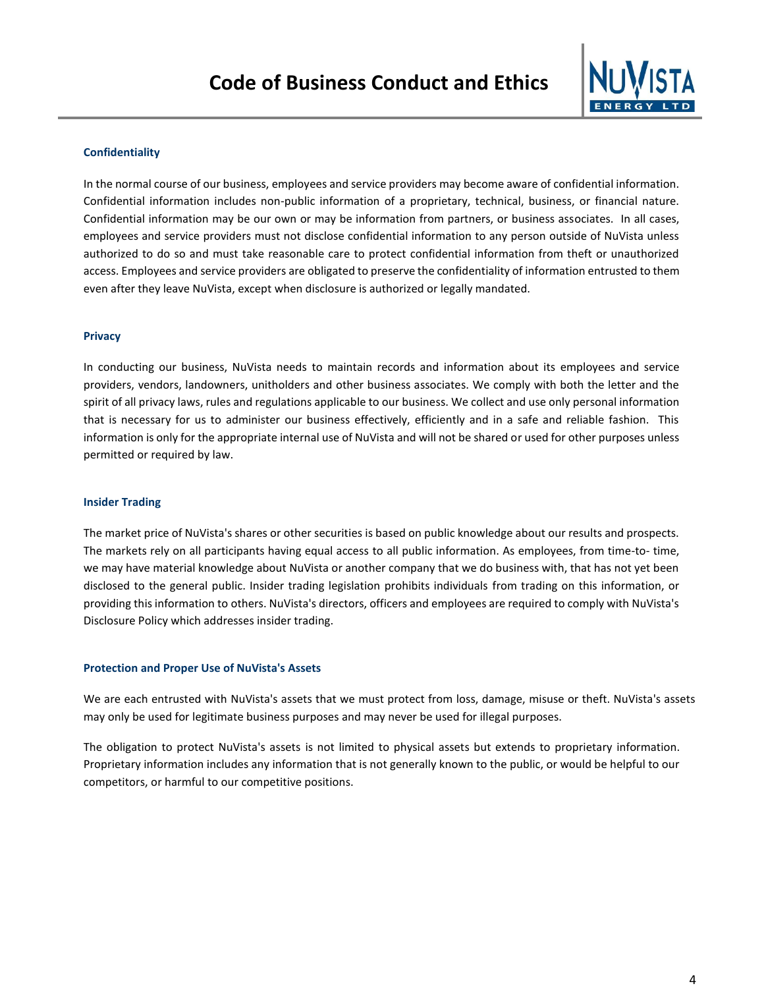

## **Confidentiality**

In the normal course of our business, employees and service providers may become aware of confidential information. Confidential information includes non-public information of a proprietary, technical, business, or financial nature. Confidential information may be our own or may be information from partners, or business associates. In all cases, employees and service providers must not disclose confidential information to any person outside of NuVista unless authorized to do so and must take reasonable care to protect confidential information from theft or unauthorized access. Employees and service providers are obligated to preserve the confidentiality of information entrusted to them even after they leave NuVista, except when disclosure is authorized or legally mandated.

### **Privacy**

In conducting our business, NuVista needs to maintain records and information about its employees and service providers, vendors, landowners, unitholders and other business associates. We comply with both the letter and the spirit of all privacy laws, rules and regulations applicable to our business. We collect and use only personal information that is necessary for us to administer our business effectively, efficiently and in a safe and reliable fashion. This information is only for the appropriate internal use of NuVista and will not be shared or used for other purposes unless permitted or required by law.

#### **Insider Trading**

The market price of NuVista's shares or other securities is based on public knowledge about our results and prospects. The markets rely on all participants having equal access to all public information. As employees, from time-to- time, we may have material knowledge about NuVista or another company that we do business with, that has not yet been disclosed to the general public. Insider trading legislation prohibits individuals from trading on this information, or providing this information to others. NuVista's directors, officers and employees are required to comply with NuVista's Disclosure Policy which addresses insider trading.

#### **Protection and Proper Use of NuVista's Assets**

We are each entrusted with NuVista's assets that we must protect from loss, damage, misuse or theft. NuVista's assets may only be used for legitimate business purposes and may never be used for illegal purposes.

The obligation to protect NuVista's assets is not limited to physical assets but extends to proprietary information. Proprietary information includes any information that is not generally known to the public, or would be helpful to our competitors, or harmful to our competitive positions.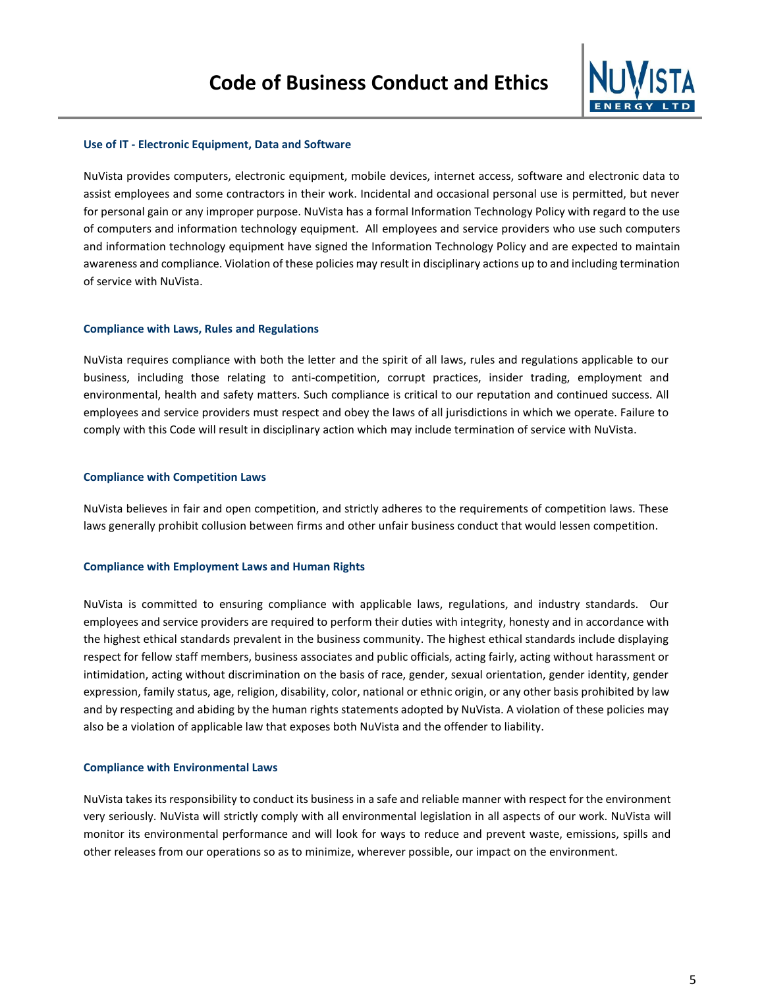

### **Use of IT - Electronic Equipment, Data and Software**

NuVista provides computers, electronic equipment, mobile devices, internet access, software and electronic data to assist employees and some contractors in their work. Incidental and occasional personal use is permitted, but never for personal gain or any improper purpose. NuVista has a formal Information Technology Policy with regard to the use of computers and information technology equipment. All employees and service providers who use such computers and information technology equipment have signed the Information Technology Policy and are expected to maintain awareness and compliance. Violation of these policies may result in disciplinary actions up to and including termination of service with NuVista.

### **Compliance with Laws, Rules and Regulations**

NuVista requires compliance with both the letter and the spirit of all laws, rules and regulations applicable to our business, including those relating to anti-competition, corrupt practices, insider trading, employment and environmental, health and safety matters. Such compliance is critical to our reputation and continued success. All employees and service providers must respect and obey the laws of all jurisdictions in which we operate. Failure to comply with this Code will result in disciplinary action which may include termination of service with NuVista.

### **Compliance with Competition Laws**

NuVista believes in fair and open competition, and strictly adheres to the requirements of competition laws. These laws generally prohibit collusion between firms and other unfair business conduct that would lessen competition.

### **Compliance with Employment Laws and Human Rights**

NuVista is committed to ensuring compliance with applicable laws, regulations, and industry standards. Our employees and service providers are required to perform their duties with integrity, honesty and in accordance with the highest ethical standards prevalent in the business community. The highest ethical standards include displaying respect for fellow staff members, business associates and public officials, acting fairly, acting without harassment or intimidation, acting without discrimination on the basis of race, gender, sexual orientation, gender identity, gender expression, family status, age, religion, disability, color, national or ethnic origin, or any other basis prohibited by law and by respecting and abiding by the human rights statements adopted by NuVista. A violation of these policies may also be a violation of applicable law that exposes both NuVista and the offender to liability.

#### **Compliance with Environmental Laws**

NuVista takes its responsibility to conduct its business in a safe and reliable manner with respect for the environment very seriously. NuVista will strictly comply with all environmental legislation in all aspects of our work. NuVista will monitor its environmental performance and will look for ways to reduce and prevent waste, emissions, spills and other releases from our operations so as to minimize, wherever possible, our impact on the environment.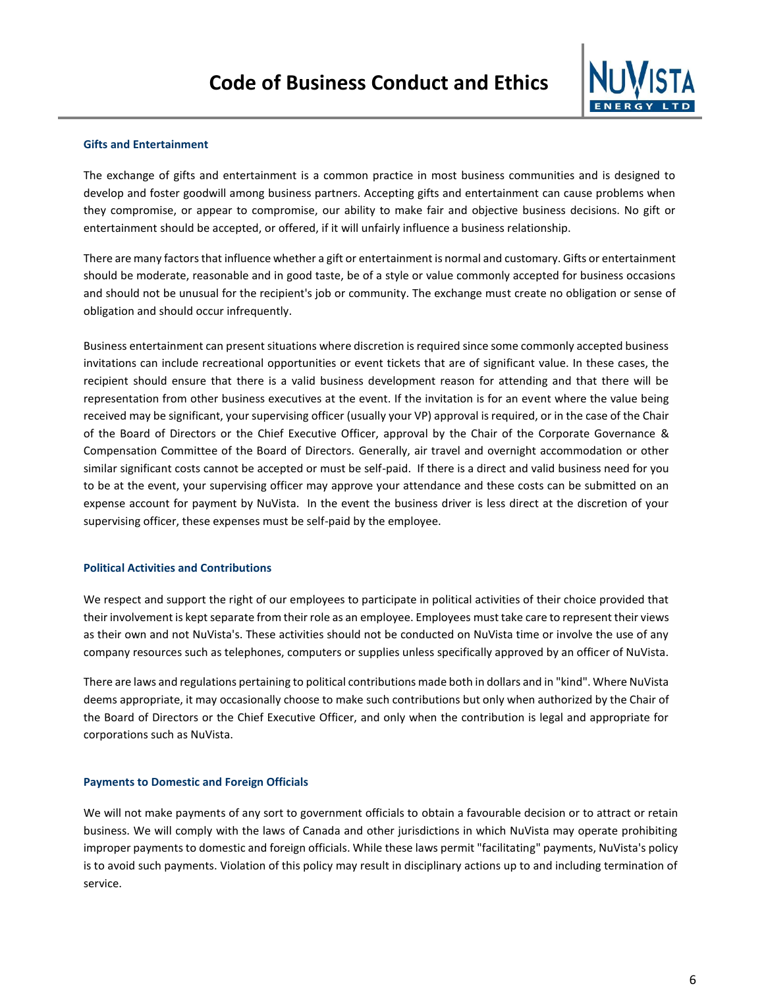

## **Gifts and Entertainment**

The exchange of gifts and entertainment is a common practice in most business communities and is designed to develop and foster goodwill among business partners. Accepting gifts and entertainment can cause problems when they compromise, or appear to compromise, our ability to make fair and objective business decisions. No gift or entertainment should be accepted, or offered, if it will unfairly influence a business relationship.

There are many factors that influence whether a gift or entertainment is normal and customary. Gifts or entertainment should be moderate, reasonable and in good taste, be of a style or value commonly accepted for business occasions and should not be unusual for the recipient's job or community. The exchange must create no obligation or sense of obligation and should occur infrequently.

Business entertainment can present situations where discretion is required since some commonly accepted business invitations can include recreational opportunities or event tickets that are of significant value. In these cases, the recipient should ensure that there is a valid business development reason for attending and that there will be representation from other business executives at the event. If the invitation is for an event where the value being received may be significant, your supervising officer (usually your VP) approval is required, or in the case of the Chair of the Board of Directors or the Chief Executive Officer, approval by the Chair of the Corporate Governance & Compensation Committee of the Board of Directors. Generally, air travel and overnight accommodation or other similar significant costs cannot be accepted or must be self-paid. If there is a direct and valid business need for you to be at the event, your supervising officer may approve your attendance and these costs can be submitted on an expense account for payment by NuVista. In the event the business driver is less direct at the discretion of your supervising officer, these expenses must be self-paid by the employee.

### **Political Activities and Contributions**

We respect and support the right of our employees to participate in political activities of their choice provided that their involvement is kept separate from their role as an employee. Employees must take care to represent their views as their own and not NuVista's. These activities should not be conducted on NuVista time or involve the use of any company resources such as telephones, computers or supplies unless specifically approved by an officer of NuVista.

There are laws and regulations pertaining to political contributions made both in dollars and in "kind". Where NuVista deems appropriate, it may occasionally choose to make such contributions but only when authorized by the Chair of the Board of Directors or the Chief Executive Officer, and only when the contribution is legal and appropriate for corporations such as NuVista.

### **Payments to Domestic and Foreign Officials**

We will not make payments of any sort to government officials to obtain a favourable decision or to attract or retain business. We will comply with the laws of Canada and other jurisdictions in which NuVista may operate prohibiting improper payments to domestic and foreign officials. While these laws permit "facilitating" payments, NuVista's policy is to avoid such payments. Violation of this policy may result in disciplinary actions up to and including termination of service.